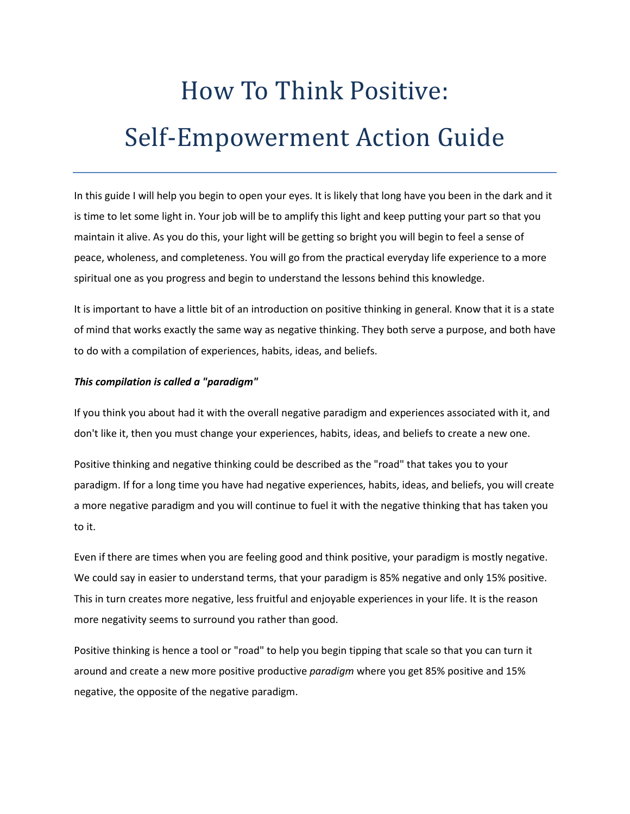# How To Think Positive: Self-Empowerment Action Guide

In this guide I will help you begin to open your eyes. It is likely that long have you been in the dark and it is time to let some light in. Your job will be to amplify this light and keep putting your part so that you maintain it alive. As you do this, your light will be getting so bright you will begin to feel a sense of peace, wholeness, and completeness. You will go from the practical everyday life experience to a more spiritual one as you progress and begin to understand the lessons behind this knowledge.

It is important to have a little bit of an introduction on positive thinking in general. Know that it is a state of mind that works exactly the same way as negative thinking. They both serve a purpose, and both have to do with a compilation of experiences, habits, ideas, and beliefs.

#### *This compilation is called a "paradigm"*

If you think you about had it with the overall negative paradigm and experiences associated with it, and don't like it, then you must change your experiences, habits, ideas, and beliefs to create a new one.

Positive thinking and negative thinking could be described as the "road" that takes you to your paradigm. If for a long time you have had negative experiences, habits, ideas, and beliefs, you will create a more negative paradigm and you will continue to fuel it with the negative thinking that has taken you to it.

Even if there are times when you are feeling good and think positive, your paradigm is mostly negative. We could say in easier to understand terms, that your paradigm is 85% negative and only 15% positive. This in turn creates more negative, less fruitful and enjoyable experiences in your life. It is the reason more negativity seems to surround you rather than good.

Positive thinking is hence a tool or "road" to help you begin tipping that scale so that you can turn it around and create a new more positive productive *paradigm* where you get 85% positive and 15% negative, the opposite of the negative paradigm.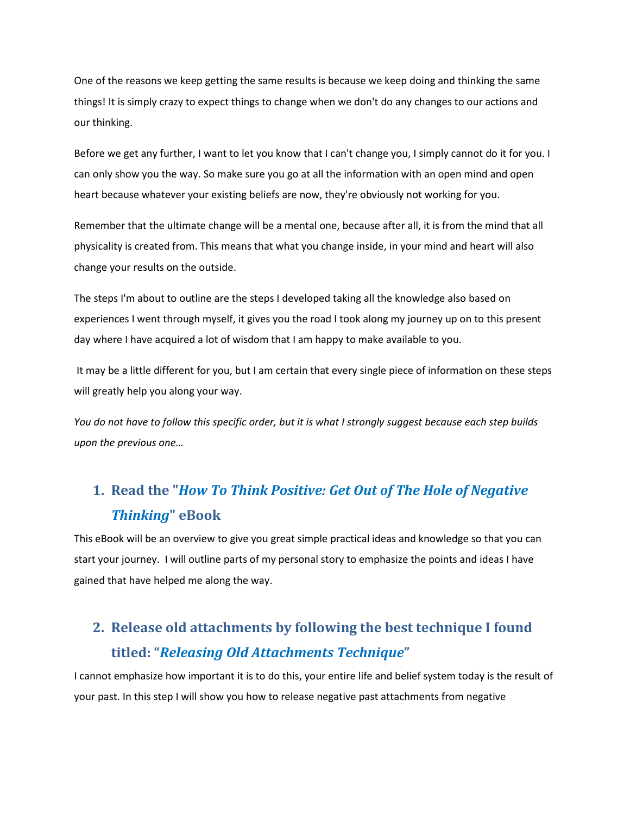One of the reasons we keep getting the same results is because we keep doing and thinking the same things! It is simply crazy to expect things to change when we don't do any changes to our actions and our thinking.

Before we get any further, I want to let you know that I can't change you, I simply cannot do it for you. I can only show you the way. So make sure you go at all the information with an open mind and open heart because whatever your existing beliefs are now, they're obviously not working for you.

Remember that the ultimate change will be a mental one, because after all, it is from the mind that all physicality is created from. This means that what you change inside, in your mind and heart will also change your results on the outside.

The steps I'm about to outline are the steps I developed taking all the knowledge also based on experiences I went through myself, it gives you the road I took along my journey up on to this present day where I have acquired a lot of wisdom that I am happy to make available to you.

It may be a little different for you, but I am certain that every single piece of information on these steps will greatly help you along your way.

*You do not have to follow this specific order, but it is what I strongly suggest because each step builds upon the previous one…*

## **1. Read the "***How To Think Positive: Get Out of The Hole of Negative Thinking***" eBook**

This eBook will be an overview to give you great simple practical ideas and knowledge so that you can start your journey. I will outline parts of my personal story to emphasize the points and ideas I have gained that have helped me along the way.

## **2. Release old attachments by following the best technique I found titled: "***Releasing Old Attachments Technique***"**

I cannot emphasize how important it is to do this, your entire life and belief system today is the result of your past. In this step I will show you how to release negative past attachments from negative